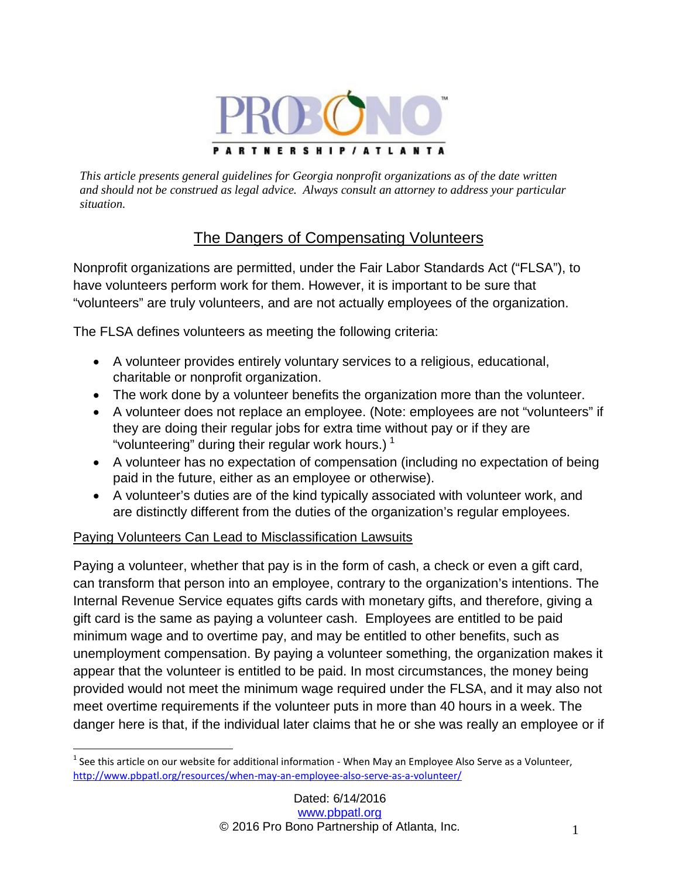

*This article presents general guidelines for Georgia nonprofit organizations as of the date written and should not be construed as legal advice. Always consult an attorney to address your particular situation.*

# The Dangers of Compensating Volunteers

Nonprofit organizations are permitted, under the Fair Labor Standards Act ("FLSA"), to have volunteers perform work for them. However, it is important to be sure that "volunteers" are truly volunteers, and are not actually employees of the organization.

The FLSA defines volunteers as meeting the following criteria:

- A volunteer provides entirely voluntary services to a religious, educational, charitable or nonprofit organization.
- The work done by a volunteer benefits the organization more than the volunteer.
- A volunteer does not replace an employee. (Note: employees are not "volunteers" if they are doing their regular jobs for extra time without pay or if they are "volunteering" during their regular work hours.)<sup>[1](#page-0-0)</sup>
- A volunteer has no expectation of compensation (including no expectation of being paid in the future, either as an employee or otherwise).
- A volunteer's duties are of the kind typically associated with volunteer work, and are distinctly different from the duties of the organization's regular employees.

## Paying Volunteers Can Lead to Misclassification Lawsuits

Paying a volunteer, whether that pay is in the form of cash, a check or even a gift card, can transform that person into an employee, contrary to the organization's intentions. The Internal Revenue Service equates gifts cards with monetary gifts, and therefore, giving a gift card is the same as paying a volunteer cash. Employees are entitled to be paid minimum wage and to overtime pay, and may be entitled to other benefits, such as unemployment compensation. By paying a volunteer something, the organization makes it appear that the volunteer is entitled to be paid. In most circumstances, the money being provided would not meet the minimum wage required under the FLSA, and it may also not meet overtime requirements if the volunteer puts in more than 40 hours in a week. The danger here is that, if the individual later claims that he or she was really an employee or if

<span id="page-0-0"></span> $1$  See this article on our website for additional information - When May an Employee Also Serve as a Volunteer, <http://www.pbpatl.org/resources/when-may-an-employee-also-serve-as-a-volunteer/>